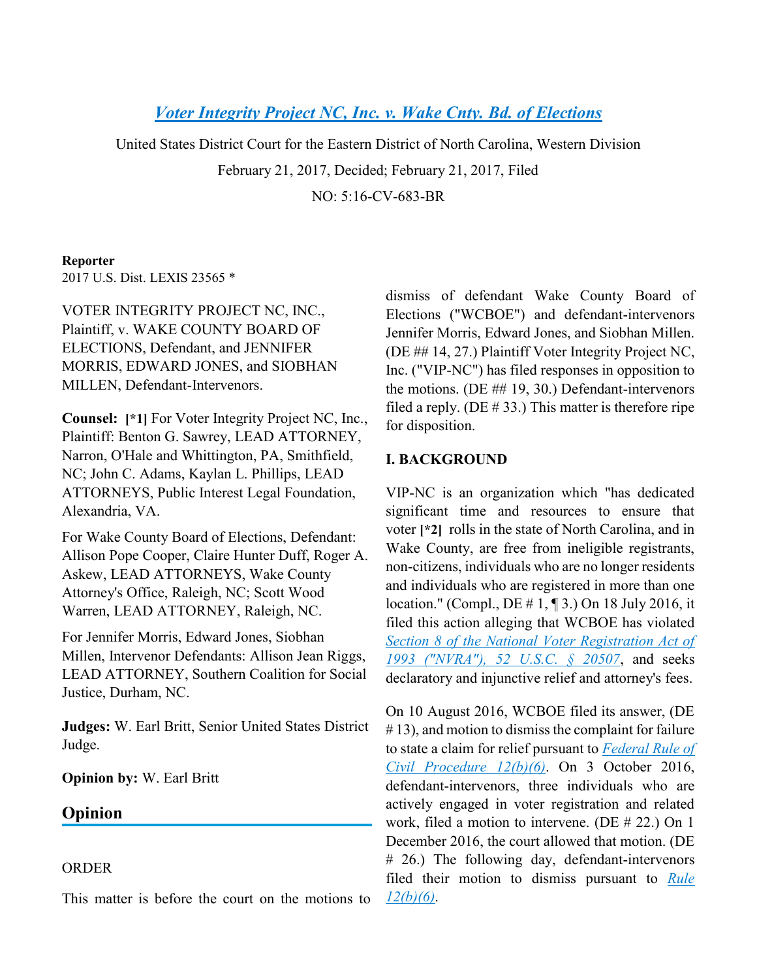# *[Voter Integrity Project](https://advance.lexis.com/api/document?collection=cases&id=urn:contentItem:5MXP-H101-F04D-R0HK-00000-00&context=) [NC, Inc. v. Wake Cnty. Bd. of Elections](https://advance.lexis.com/api/document?collection=cases&id=urn:contentItem:5MXP-H101-F04D-R0HK-00000-00&context=)*

United States District Court for the Eastern District of North Carolina, Western Division

February 21, 2017, Decided; February 21, 2017, Filed

NO: 5:16-CV-683-BR

### **Reporter**

2017 U.S. Dist. LEXIS 23565 \*

VOTER INTEGRITY PROJECT NC, INC., Plaintiff, v. WAKE COUNTY BOARD OF ELECTIONS, Defendant, and JENNIFER MORRIS, EDWARD JONES, and SIOBHAN MILLEN, Defendant-Intervenors.

**Counsel: [\*1]** For Voter Integrity Project NC, Inc., Plaintiff: Benton G. Sawrey, LEAD ATTORNEY, Narron, O'Hale and Whittington, PA, Smithfield, NC; John C. Adams, Kaylan L. Phillips, LEAD ATTORNEYS, Public Interest Legal Foundation, Alexandria, VA.

For Wake County Board of Elections, Defendant: Allison Pope Cooper, Claire Hunter Duff, Roger A. Askew, LEAD ATTORNEYS, Wake County Attorney's Office, Raleigh, NC; Scott Wood Warren, LEAD ATTORNEY, Raleigh, NC.

For Jennifer Morris, Edward Jones, Siobhan Millen, Intervenor Defendants: Allison Jean Riggs, LEAD ATTORNEY, Southern Coalition for Social Justice, Durham, NC.

**Judges:** W. Earl Britt, Senior United States District Judge.

**Opinion by:** W. Earl Britt

# **Opinion**

### ORDER

This matter is before the court on the motions to

dismiss of defendant Wake County Board of Elections ("WCBOE") and defendant-intervenors Jennifer Morris, Edward Jones, and Siobhan Millen. (DE ## 14, 27.) Plaintiff Voter Integrity Project NC, Inc. ("VIP-NC") has filed responses in opposition to the motions. (DE ## 19, 30.) Defendant-intervenors filed a reply. (DE  $\#$  33.) This matter is therefore ripe for disposition.

### **I. BACKGROUND**

VIP-NC is an organization which "has dedicated significant time and resources to ensure that voter **[\*2]** rolls in the state of North Carolina, and in Wake County, are free from ineligible registrants, non-citizens, individuals who are no longer residents and individuals who are registered in more than one location." (Compl., DE # 1, ¶ 3.) On 18 July 2016, it filed this action alleging that WCBOE has violated *[Section 8 of the National Voter Registration Act of](https://advance.lexis.com/api/document?collection=statutes-legislation&id=urn:contentItem:5D3N-F731-NRF4-4007-00000-00&context=)  [1993 \("NVRA"\), 52 U.S.C. § 20507](https://advance.lexis.com/api/document?collection=statutes-legislation&id=urn:contentItem:5D3N-F731-NRF4-4007-00000-00&context=)*, and seeks declaratory and injunctive relief and attorney's fees.

On 10 August 2016, WCBOE filed its answer, (DE # 13), and motion to dismiss the complaint for failure to state a claim for relief pursuant to *[Federal Rule of](https://advance.lexis.com/api/document?collection=statutes-legislation&id=urn:contentItem:5GYC-1WP1-6N19-F0YW-00000-00&context=)  [Civil Procedure 12\(b\)\(6\)](https://advance.lexis.com/api/document?collection=statutes-legislation&id=urn:contentItem:5GYC-1WP1-6N19-F0YW-00000-00&context=)*. On 3 October 2016, defendant-intervenors, three individuals who are actively engaged in voter registration and related work, filed a motion to intervene. (DE # 22.) On 1 December 2016, the court allowed that motion. (DE # 26.) The following day, defendant-intervenors filed their motion to dismiss pursuant to *[Rule](https://advance.lexis.com/api/document?collection=statutes-legislation&id=urn:contentItem:5GYC-1WP1-6N19-F0YW-00000-00&context=)  [12\(b\)\(6\)](https://advance.lexis.com/api/document?collection=statutes-legislation&id=urn:contentItem:5GYC-1WP1-6N19-F0YW-00000-00&context=)*.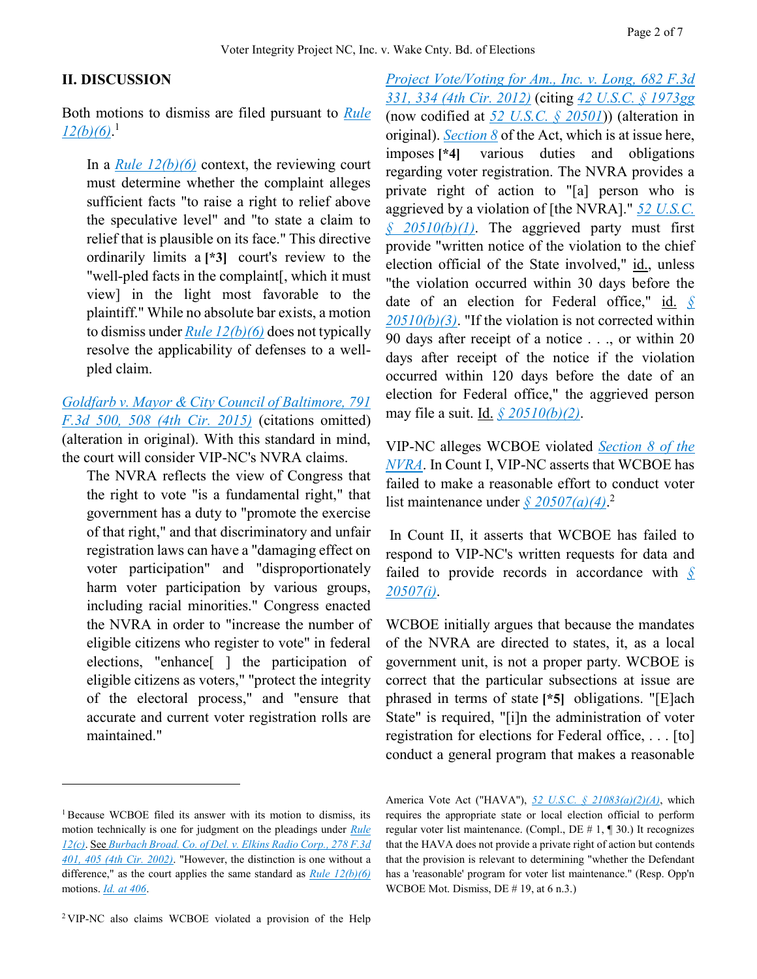#### **II. DISCUSSION**

Both motions to dismiss are filed pursuant to *[Rule](https://advance.lexis.com/api/document?collection=statutes-legislation&id=urn:contentItem:5GYC-1WP1-6N19-F0YW-00000-00&context=)  [12\(b\)\(6\)](https://advance.lexis.com/api/document?collection=statutes-legislation&id=urn:contentItem:5GYC-1WP1-6N19-F0YW-00000-00&context=)*. 1

In a *[Rule 12\(b\)\(6\)](https://advance.lexis.com/api/document?collection=statutes-legislation&id=urn:contentItem:5GYC-1WP1-6N19-F0YW-00000-00&context=)* context, the reviewing court must determine whether the complaint alleges sufficient facts "to raise a right to relief above the speculative level" and "to state a claim to relief that is plausible on its face." This directive ordinarily limits a **[\*3]** court's review to the "well-pled facts in the complaint[, which it must view] in the light most favorable to the plaintiff." While no absolute bar exists, a motion to dismiss under *[Rule 12\(b\)\(6\)](https://advance.lexis.com/api/document?collection=statutes-legislation&id=urn:contentItem:5GYC-1WP1-6N19-F0YW-00000-00&context=)* does not typically resolve the applicability of defenses to a wellpled claim.

*[Goldfarb v. Mayor & City Council of Baltimore, 791](https://advance.lexis.com/api/document?collection=cases&id=urn:contentItem:5GBJ-2HM1-F04K-M05S-00000-00&context=)  [F.3d 500, 508 \(4th Cir. 2015\)](https://advance.lexis.com/api/document?collection=cases&id=urn:contentItem:5GBJ-2HM1-F04K-M05S-00000-00&context=)* (citations omitted) (alteration in original). With this standard in mind, the court will consider VIP-NC's NVRA claims.

The NVRA reflects the view of Congress that the right to vote "is a fundamental right," that government has a duty to "promote the exercise of that right," and that discriminatory and unfair registration laws can have a "damaging effect on voter participation" and "disproportionately harm voter participation by various groups, including racial minorities." Congress enacted the NVRA in order to "increase the number of eligible citizens who register to vote" in federal elections, "enhance[ ] the participation of eligible citizens as voters," "protect the integrity of the electoral process," and "ensure that accurate and current voter registration rolls are maintained."

 $\overline{a}$ 

*[Project Vote/Voting for Am., Inc. v. Long, 682 F.3d](https://advance.lexis.com/api/document?collection=cases&id=urn:contentItem:55WM-M161-F04K-M322-00000-00&context=)  [331, 334 \(4th Cir. 2012\)](https://advance.lexis.com/api/document?collection=cases&id=urn:contentItem:55WM-M161-F04K-M322-00000-00&context=)* (citing *[42 U.S.C. § 1973gg](https://advance.lexis.com/api/document?collection=statutes-legislation&id=urn:contentItem:4YF7-GM91-NRF4-42X1-00000-00&context=)* (now codified at *[52 U.S.C. § 20501](https://advance.lexis.com/api/document?collection=statutes-legislation&id=urn:contentItem:5D3N-F721-NRF4-4001-00000-00&context=)*)) (alteration in original). *[Section 8](https://advance.lexis.com/api/document?collection=statutes-legislation&id=urn:contentItem:5D3N-F731-NRF4-4007-00000-00&context=)* of the Act, which is at issue here, imposes **[\*4]** various duties and obligations regarding voter registration. The NVRA provides a private right of action to "[a] person who is aggrieved by a violation of [the NVRA]." *[52 U.S.C.](https://advance.lexis.com/api/document?collection=statutes-legislation&id=urn:contentItem:5D3N-F741-NRF4-400B-00000-00&context=)  [§ 20510\(b\)\(1\)](https://advance.lexis.com/api/document?collection=statutes-legislation&id=urn:contentItem:5D3N-F741-NRF4-400B-00000-00&context=)*. The aggrieved party must first provide "written notice of the violation to the chief election official of the State involved," id., unless "the violation occurred within 30 days before the date of an election for Federal office," id. *[§](https://advance.lexis.com/api/document?collection=statutes-legislation&id=urn:contentItem:5D3N-F741-NRF4-400B-00000-00&context=)  [20510\(b\)\(3\)](https://advance.lexis.com/api/document?collection=statutes-legislation&id=urn:contentItem:5D3N-F741-NRF4-400B-00000-00&context=)*. "If the violation is not corrected within 90 days after receipt of a notice . . ., or within 20 days after receipt of the notice if the violation occurred within 120 days before the date of an election for Federal office," the aggrieved person may file a suit. Id. *[§ 20510\(b\)\(2\)](https://advance.lexis.com/api/document?collection=statutes-legislation&id=urn:contentItem:5D3N-F741-NRF4-400B-00000-00&context=)*.

VIP-NC alleges WCBOE violated *[Section 8 of the](https://advance.lexis.com/api/document?collection=statutes-legislation&id=urn:contentItem:5D3N-F731-NRF4-4007-00000-00&context=)  [NVRA](https://advance.lexis.com/api/document?collection=statutes-legislation&id=urn:contentItem:5D3N-F731-NRF4-4007-00000-00&context=)*. In Count I, VIP-NC asserts that WCBOE has failed to make a reasonable effort to conduct voter list maintenance under *[§ 20507\(a\)\(4\)](https://advance.lexis.com/api/document?collection=statutes-legislation&id=urn:contentItem:5D3N-F731-NRF4-4007-00000-00&context=)*. 2

In Count II, it asserts that WCBOE has failed to respond to VIP-NC's written requests for data and failed to provide records in accordance with *[§](https://advance.lexis.com/api/document?collection=statutes-legislation&id=urn:contentItem:5D3N-F731-NRF4-4007-00000-00&context=)  [20507\(i\)](https://advance.lexis.com/api/document?collection=statutes-legislation&id=urn:contentItem:5D3N-F731-NRF4-4007-00000-00&context=)*.

WCBOE initially argues that because the mandates of the NVRA are directed to states, it, as a local government unit, is not a proper party. WCBOE is correct that the particular subsections at issue are phrased in terms of state **[\*5]** obligations. "[E]ach State" is required, "[i]n the administration of voter registration for elections for Federal office, . . . [to] conduct a general program that makes a reasonable

<sup>1</sup> Because WCBOE filed its answer with its motion to dismiss, its motion technically is one for judgment on the pleadings under *[Rule](https://advance.lexis.com/api/document?collection=statutes-legislation&id=urn:contentItem:5GYC-1WP1-6N19-F0YW-00000-00&context=)  [12\(c\)](https://advance.lexis.com/api/document?collection=statutes-legislation&id=urn:contentItem:5GYC-1WP1-6N19-F0YW-00000-00&context=)*. See *[Burbach Broad. Co. of Del. v. Elkins Radio Corp., 278 F.3d](https://advance.lexis.com/api/document?collection=cases&id=urn:contentItem:450S-W420-0038-X24S-00000-00&context=)  [401, 405 \(4th Cir. 2002\)](https://advance.lexis.com/api/document?collection=cases&id=urn:contentItem:450S-W420-0038-X24S-00000-00&context=)*. "However, the distinction is one without a difference," as the court applies the same standard as *[Rule 12\(b\)\(6\)](https://advance.lexis.com/api/document?collection=statutes-legislation&id=urn:contentItem:5GYC-1WP1-6N19-F0YW-00000-00&context=)* motions. *[Id.](https://advance.lexis.com/api/document?collection=cases&id=urn:contentItem:450S-W420-0038-X24S-00000-00&context=) [at 406](https://advance.lexis.com/api/document?collection=cases&id=urn:contentItem:450S-W420-0038-X24S-00000-00&context=)*.

America Vote Act ("HAVA"), *[52 U.S.C. § 21083\(a\)\(2\)\(A\)](https://advance.lexis.com/api/document?collection=statutes-legislation&id=urn:contentItem:5D3N-FR61-NRF4-4003-00000-00&context=)*, which requires the appropriate state or local election official to perform regular voter list maintenance. (Compl., DE # 1, ¶ 30.) It recognizes that the HAVA does not provide a private right of action but contends that the provision is relevant to determining "whether the Defendant has a 'reasonable' program for voter list maintenance." (Resp. Opp'n WCBOE Mot. Dismiss, DE # 19, at 6 n.3.)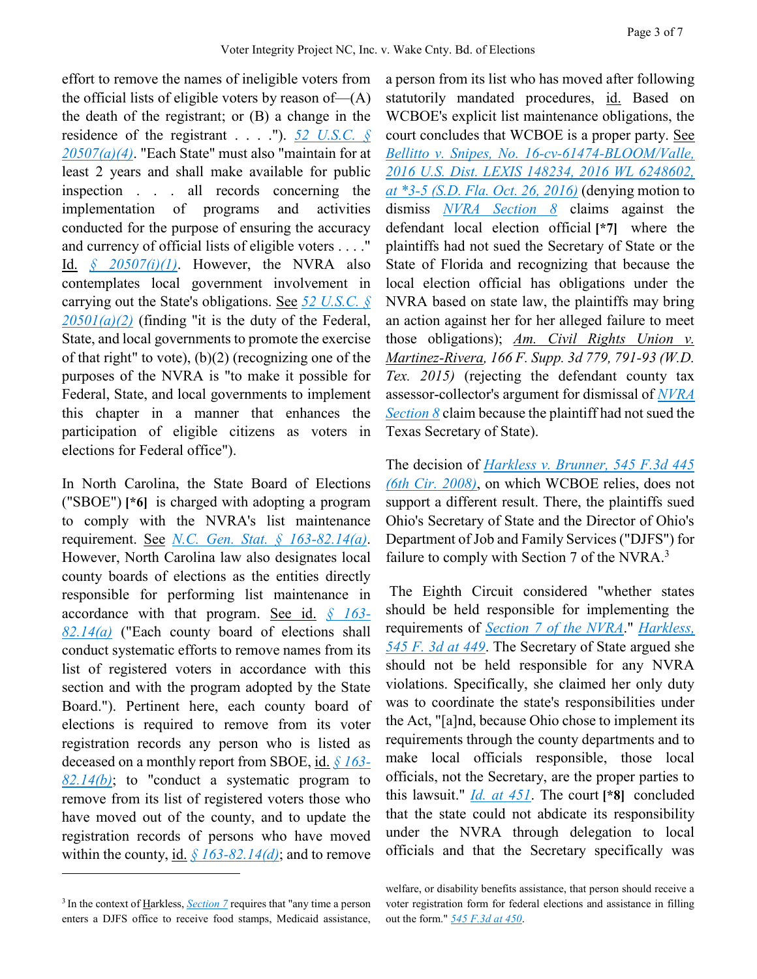effort to remove the names of ineligible voters from the official lists of eligible voters by reason of—(A) the death of the registrant; or (B) a change in the residence of the registrant . . . ."). *[52 U.S.C. §](https://advance.lexis.com/api/document?collection=statutes-legislation&id=urn:contentItem:5D3N-F731-NRF4-4007-00000-00&context=)  [20507\(a\)\(4\)](https://advance.lexis.com/api/document?collection=statutes-legislation&id=urn:contentItem:5D3N-F731-NRF4-4007-00000-00&context=)*. "Each State" must also "maintain for at least 2 years and shall make available for public inspection . . . all records concerning the implementation of programs and activities conducted for the purpose of ensuring the accuracy and currency of official lists of eligible voters . . . ." Id. *[§ 20507\(i\)\(1\)](https://advance.lexis.com/api/document?collection=statutes-legislation&id=urn:contentItem:5D3N-F731-NRF4-4007-00000-00&context=)*. However, the NVRA also contemplates local government involvement in carrying out the State's obligations. See *[52 U.S.C. §](https://advance.lexis.com/api/document?collection=statutes-legislation&id=urn:contentItem:5D3N-F721-NRF4-4001-00000-00&context=)*   $20501(a)(2)$  (finding "it is the duty of the Federal, State, and local governments to promote the exercise of that right" to vote),  $(b)(2)$  (recognizing one of the purposes of the NVRA is "to make it possible for Federal, State, and local governments to implement this chapter in a manner that enhances the participation of eligible citizens as voters in elections for Federal office").

In North Carolina, the State Board of Elections ("SBOE") **[\*6]** is charged with adopting a program to comply with the NVRA's list maintenance requirement. See *[N.C. Gen. Stat. § 163-82.14\(a\)](https://advance.lexis.com/api/document?collection=statutes-legislation&id=urn:contentItem:5N29-NRH0-004F-P0NG-00000-00&context=)*. However, North Carolina law also designates local county boards of elections as the entities directly responsible for performing list maintenance in accordance with that program. See id. *[§ 163-](https://advance.lexis.com/api/document?collection=statutes-legislation&id=urn:contentItem:5N29-NRH0-004F-P0NG-00000-00&context=) [82.14\(a\)](https://advance.lexis.com/api/document?collection=statutes-legislation&id=urn:contentItem:5N29-NRH0-004F-P0NG-00000-00&context=)* ("Each county board of elections shall conduct systematic efforts to remove names from its list of registered voters in accordance with this section and with the program adopted by the State Board."). Pertinent here, each county board of elections is required to remove from its voter registration records any person who is listed as deceased on a monthly report from SBOE, id. *[§ 163-](https://advance.lexis.com/api/document?collection=statutes-legislation&id=urn:contentItem:5N29-NRH0-004F-P0NG-00000-00&context=) [82.14\(b\)](https://advance.lexis.com/api/document?collection=statutes-legislation&id=urn:contentItem:5N29-NRH0-004F-P0NG-00000-00&context=)*; to "conduct a systematic program to remove from its list of registered voters those who have moved out of the county, and to update the registration records of persons who have moved within the county, id. *[§ 163-82.14\(d\)](https://advance.lexis.com/api/document?collection=statutes-legislation&id=urn:contentItem:5N29-NRH0-004F-P0NG-00000-00&context=)*; and to remove

 $\overline{a}$ 

a person from its list who has moved after following statutorily mandated procedures, id. Based on WCBOE's explicit list maintenance obligations, the court concludes that WCBOE is a proper party. See *[Bellitto v. Snipes, No. 16-cv-61474-BLOOM/Valle,](https://advance.lexis.com/api/document?collection=cases&id=urn:contentItem:5M1N-0M41-F04D-10NR-00000-00&context=)  [2016 U.S. Dist. LEXIS 148234, 2016 WL 6248602,](https://advance.lexis.com/api/document?collection=cases&id=urn:contentItem:5M1N-0M41-F04D-10NR-00000-00&context=)  [at \\*3-5 \(S.D. Fla. Oct. 26, 2016\)](https://advance.lexis.com/api/document?collection=cases&id=urn:contentItem:5M1N-0M41-F04D-10NR-00000-00&context=)* (denying motion to dismiss *[NVRA Section 8](https://advance.lexis.com/api/document?collection=statutes-legislation&id=urn:contentItem:5D3N-F731-NRF4-4007-00000-00&context=)* claims against the defendant local election official **[\*7]** where the plaintiffs had not sued the Secretary of State or the State of Florida and recognizing that because the local election official has obligations under the NVRA based on state law, the plaintiffs may bring an action against her for her alleged failure to meet those obligations); *Am. Civil Rights Union v. Martinez-Rivera, 166 F. Supp. 3d 779, 791-93 (W.D. Tex. 2015)* (rejecting the defendant county tax assessor-collector's argument for dismissal of *[NVRA](https://advance.lexis.com/api/document?collection=statutes-legislation&id=urn:contentItem:5D3N-F731-NRF4-4007-00000-00&context=)  [Section 8](https://advance.lexis.com/api/document?collection=statutes-legislation&id=urn:contentItem:5D3N-F731-NRF4-4007-00000-00&context=)* claim because the plaintiff had not sued the Texas Secretary of State).

The decision of *[Harkless v. Brunner, 545 F.3d 445](https://advance.lexis.com/api/document?collection=cases&id=urn:contentItem:4TX8-M880-TXFX-81R4-00000-00&context=)  [\(6th Cir. 2008\)](https://advance.lexis.com/api/document?collection=cases&id=urn:contentItem:4TX8-M880-TXFX-81R4-00000-00&context=)*, on which WCBOE relies, does not support a different result. There, the plaintiffs sued Ohio's Secretary of State and the Director of Ohio's Department of Job and Family Services ("DJFS") for failure to comply with Section 7 of the NVRA.<sup>3</sup>

The Eighth Circuit considered "whether states should be held responsible for implementing the requirements of *[Section 7 of the NVRA](https://advance.lexis.com/api/document?collection=statutes-legislation&id=urn:contentItem:5D3N-F731-NRF4-4006-00000-00&context=)*." *[Harkless,](https://advance.lexis.com/api/document?collection=cases&id=urn:contentItem:4TX8-M880-TXFX-81R4-00000-00&context=)  [545 F. 3d at 449](https://advance.lexis.com/api/document?collection=cases&id=urn:contentItem:4TX8-M880-TXFX-81R4-00000-00&context=)*. The Secretary of State argued she should not be held responsible for any NVRA violations. Specifically, she claimed her only duty was to coordinate the state's responsibilities under the Act, "[a]nd, because Ohio chose to implement its requirements through the county departments and to make local officials responsible, those local officials, not the Secretary, are the proper parties to this lawsuit." *[Id.](https://advance.lexis.com/api/document?collection=cases&id=urn:contentItem:4TX8-M880-TXFX-81R4-00000-00&context=) [at 451](https://advance.lexis.com/api/document?collection=cases&id=urn:contentItem:4TX8-M880-TXFX-81R4-00000-00&context=)*. The court **[\*8]** concluded that the state could not abdicate its responsibility under the NVRA through delegation to local officials and that the Secretary specifically was

<sup>&</sup>lt;sup>3</sup> In the context of *Harkless*, *Section* 7 requires that "any time a person enters a DJFS office to receive food stamps, Medicaid assistance,

welfare, or disability benefits assistance, that person should receive a voter registration form for federal elections and assistance in filling out the form." *[545 F.3d at 450](https://advance.lexis.com/api/document?collection=cases&id=urn:contentItem:4TX8-M880-TXFX-81R4-00000-00&context=)*.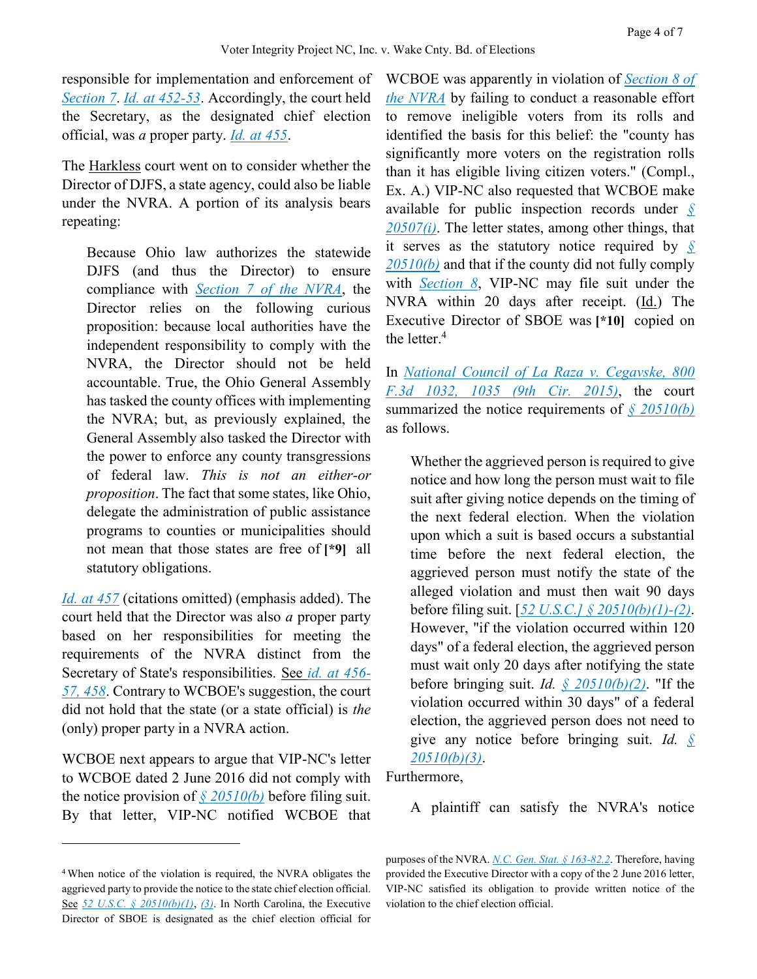responsible for implementation and enforcement of *[Section 7](https://advance.lexis.com/api/document?collection=statutes-legislation&id=urn:contentItem:5D3N-F731-NRF4-4006-00000-00&context=)*. *[Id.](https://advance.lexis.com/api/document?collection=cases&id=urn:contentItem:4TX8-M880-TXFX-81R4-00000-00&context=) [at 452-53](https://advance.lexis.com/api/document?collection=cases&id=urn:contentItem:4TX8-M880-TXFX-81R4-00000-00&context=)*. Accordingly, the court held the Secretary, as the designated chief election official, was *a* proper party. *[Id.](https://advance.lexis.com/api/document?collection=cases&id=urn:contentItem:4TX8-M880-TXFX-81R4-00000-00&context=) [at 455](https://advance.lexis.com/api/document?collection=cases&id=urn:contentItem:4TX8-M880-TXFX-81R4-00000-00&context=)*.

The Harkless court went on to consider whether the Director of DJFS, a state agency, could also be liable under the NVRA. A portion of its analysis bears repeating:

Because Ohio law authorizes the statewide DJFS (and thus the Director) to ensure compliance with *[Section 7 of the NVRA](https://advance.lexis.com/api/document?collection=statutes-legislation&id=urn:contentItem:5D3N-F731-NRF4-4006-00000-00&context=)*, the Director relies on the following curious proposition: because local authorities have the independent responsibility to comply with the NVRA, the Director should not be held accountable. True, the Ohio General Assembly has tasked the county offices with implementing the NVRA; but, as previously explained, the General Assembly also tasked the Director with the power to enforce any county transgressions of federal law. *This is not an either-or proposition*. The fact that some states, like Ohio, delegate the administration of public assistance programs to counties or municipalities should not mean that those states are free of **[\*9]** all statutory obligations.

*[Id.](https://advance.lexis.com/api/document?collection=cases&id=urn:contentItem:4TX8-M880-TXFX-81R4-00000-00&context=) [at 457](https://advance.lexis.com/api/document?collection=cases&id=urn:contentItem:4TX8-M880-TXFX-81R4-00000-00&context=)* (citations omitted) (emphasis added). The court held that the Director was also *a* proper party based on her responsibilities for meeting the requirements of the NVRA distinct from the Secretary of State's responsibilities. See *[id.](https://advance.lexis.com/api/document?collection=cases&id=urn:contentItem:4TX8-M880-TXFX-81R4-00000-00&context=) [at 456-](https://advance.lexis.com/api/document?collection=cases&id=urn:contentItem:4TX8-M880-TXFX-81R4-00000-00&context=) [57, 458](https://advance.lexis.com/api/document?collection=cases&id=urn:contentItem:4TX8-M880-TXFX-81R4-00000-00&context=)*. Contrary to WCBOE's suggestion, the court did not hold that the state (or a state official) is *the* (only) proper party in a NVRA action.

WCBOE next appears to argue that VIP-NC's letter to WCBOE dated 2 June 2016 did not comply with the notice provision of *[§ 20510\(b\)](https://advance.lexis.com/api/document?collection=statutes-legislation&id=urn:contentItem:5D3N-F741-NRF4-400B-00000-00&context=)* before filing suit. By that letter, VIP-NC notified WCBOE that

 $\overline{a}$ 

WCBOE was apparently in violation of *[Section 8 of](https://advance.lexis.com/api/document?collection=statutes-legislation&id=urn:contentItem:5D3N-F731-NRF4-4007-00000-00&context=)  [the NVRA](https://advance.lexis.com/api/document?collection=statutes-legislation&id=urn:contentItem:5D3N-F731-NRF4-4007-00000-00&context=)* by failing to conduct a reasonable effort to remove ineligible voters from its rolls and identified the basis for this belief: the "county has significantly more voters on the registration rolls than it has eligible living citizen voters." (Compl., Ex. A.) VIP-NC also requested that WCBOE make available for public inspection records under *[§](https://advance.lexis.com/api/document?collection=statutes-legislation&id=urn:contentItem:5D3N-F731-NRF4-4007-00000-00&context=)  [20507\(i\)](https://advance.lexis.com/api/document?collection=statutes-legislation&id=urn:contentItem:5D3N-F731-NRF4-4007-00000-00&context=)*. The letter states, among other things, that it serves as the statutory notice required by *[§](https://advance.lexis.com/api/document?collection=statutes-legislation&id=urn:contentItem:5D3N-F741-NRF4-400B-00000-00&context=)  [20510\(b\)](https://advance.lexis.com/api/document?collection=statutes-legislation&id=urn:contentItem:5D3N-F741-NRF4-400B-00000-00&context=)* and that if the county did not fully comply with *[Section 8](https://advance.lexis.com/api/document?collection=statutes-legislation&id=urn:contentItem:5D3N-F731-NRF4-4007-00000-00&context=)*, VIP-NC may file suit under the NVRA within 20 days after receipt. (Id.) The Executive Director of SBOE was **[\*10]** copied on the letter. $4$ 

In *[National Council of La Raza v. Cegavske, 800](https://advance.lexis.com/api/document?collection=cases&id=urn:contentItem:5GV5-Y071-F04K-V001-00000-00&context=)  [F.3d 1032, 1035 \(9th Cir. 2015\)](https://advance.lexis.com/api/document?collection=cases&id=urn:contentItem:5GV5-Y071-F04K-V001-00000-00&context=)*, the court summarized the notice requirements of *[§ 20510\(b\)](https://advance.lexis.com/api/document?collection=statutes-legislation&id=urn:contentItem:5D3N-F741-NRF4-400B-00000-00&context=)* as follows.

Whether the aggrieved person is required to give notice and how long the person must wait to file suit after giving notice depends on the timing of the next federal election. When the violation upon which a suit is based occurs a substantial time before the next federal election, the aggrieved person must notify the state of the alleged violation and must then wait 90 days before filing suit. [*[52 U.S.C.\] § 20510\(b\)\(1\)-\(2\)](https://advance.lexis.com/api/document?collection=statutes-legislation&id=urn:contentItem:5D3N-F741-NRF4-400B-00000-00&context=)*. However, "if the violation occurred within 120 days" of a federal election, the aggrieved person must wait only 20 days after notifying the state before bringing suit. *Id. [§ 20510\(b\)\(2\)](https://advance.lexis.com/api/document?collection=statutes-legislation&id=urn:contentItem:5D3N-F741-NRF4-400B-00000-00&context=)*. "If the violation occurred within 30 days" of a federal election, the aggrieved person does not need to give any notice before bringing suit. *Id. [§](https://advance.lexis.com/api/document?collection=statutes-legislation&id=urn:contentItem:5D3N-F741-NRF4-400B-00000-00&context=)  [20510\(b\)\(3\)](https://advance.lexis.com/api/document?collection=statutes-legislation&id=urn:contentItem:5D3N-F741-NRF4-400B-00000-00&context=)*.

Furthermore,

A plaintiff can satisfy the NVRA's notice

<sup>4</sup> When notice of the violation is required, the NVRA obligates the aggrieved party to provide the notice to the state chief election official. See *[52 U.S.C. § 20510\(b\)\(1\)](https://advance.lexis.com/api/document?collection=statutes-legislation&id=urn:contentItem:5D3N-F741-NRF4-400B-00000-00&context=)*, *[\(3\)](https://advance.lexis.com/api/document?collection=statutes-legislation&id=urn:contentItem:5D3N-F741-NRF4-400B-00000-00&context=)*. In North Carolina, the Executive Director of SBOE is designated as the chief election official for

purposes of the NVRA. *[N.C. Gen. Stat. § 163-82.2](https://advance.lexis.com/api/document?collection=statutes-legislation&id=urn:contentItem:5N29-N8D0-004F-P4Y4-00000-00&context=)*. Therefore, having provided the Executive Director with a copy of the 2 June 2016 letter, VIP-NC satisfied its obligation to provide written notice of the violation to the chief election official.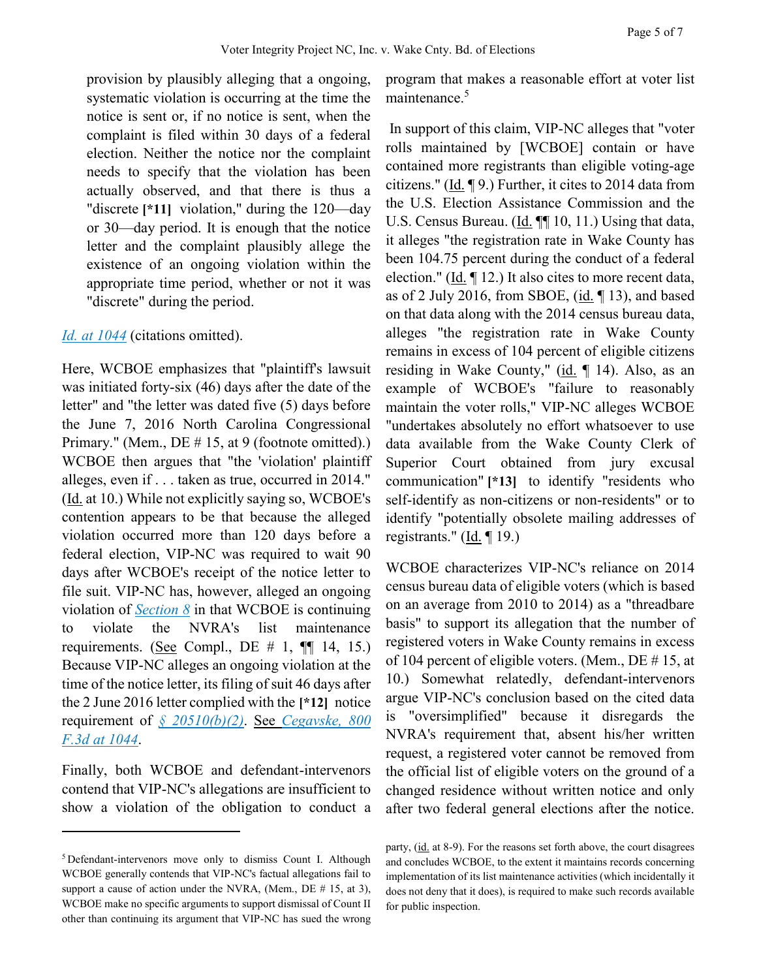provision by plausibly alleging that a ongoing, systematic violation is occurring at the time the notice is sent or, if no notice is sent, when the complaint is filed within 30 days of a federal election. Neither the notice nor the complaint needs to specify that the violation has been actually observed, and that there is thus a "discrete **[\*11]** violation," during the 120—day or 30—day period. It is enough that the notice letter and the complaint plausibly allege the existence of an ongoing violation within the appropriate time period, whether or not it was "discrete" during the period.

### *[Id.](https://advance.lexis.com/api/document?collection=cases&id=urn:contentItem:5GV5-Y071-F04K-V001-00000-00&context=) [at 1044](https://advance.lexis.com/api/document?collection=cases&id=urn:contentItem:5GV5-Y071-F04K-V001-00000-00&context=)* (citations omitted).

Here, WCBOE emphasizes that "plaintiff's lawsuit was initiated forty-six (46) days after the date of the letter" and "the letter was dated five (5) days before the June 7, 2016 North Carolina Congressional Primary." (Mem., DE # 15, at 9 (footnote omitted).) WCBOE then argues that "the 'violation' plaintiff alleges, even if . . . taken as true, occurred in 2014." (Id. at 10.) While not explicitly saying so, WCBOE's contention appears to be that because the alleged violation occurred more than 120 days before a federal election, VIP-NC was required to wait 90 days after WCBOE's receipt of the notice letter to file suit. VIP-NC has, however, alleged an ongoing violation of *[Section 8](https://advance.lexis.com/api/document?collection=statutes-legislation&id=urn:contentItem:5D3N-F731-NRF4-4007-00000-00&context=)* in that WCBOE is continuing to violate the NVRA's list maintenance requirements. (See Compl., DE  $\#$  1,  $\P$  14, 15.) Because VIP-NC alleges an ongoing violation at the time of the notice letter, its filing of suit 46 days after the 2 June 2016 letter complied with the **[\*12]** notice requirement of *[§ 20510\(b\)\(2\)](https://advance.lexis.com/api/document?collection=statutes-legislation&id=urn:contentItem:5D3N-F741-NRF4-400B-00000-00&context=)*. See *[Cegavske, 800](https://advance.lexis.com/api/document?collection=cases&id=urn:contentItem:5GV5-Y071-F04K-V001-00000-00&context=)  [F.3d at 1044](https://advance.lexis.com/api/document?collection=cases&id=urn:contentItem:5GV5-Y071-F04K-V001-00000-00&context=)*.

Finally, both WCBOE and defendant-intervenors contend that VIP-NC's allegations are insufficient to show a violation of the obligation to conduct a

 $\overline{a}$ 

program that makes a reasonable effort at voter list maintenance.<sup>5</sup>

In support of this claim, VIP-NC alleges that "voter rolls maintained by [WCBOE] contain or have contained more registrants than eligible voting-age citizens." (Id. ¶ 9.) Further, it cites to 2014 data from the U.S. Election Assistance Commission and the U.S. Census Bureau. (Id. ¶¶ 10, 11.) Using that data, it alleges "the registration rate in Wake County has been 104.75 percent during the conduct of a federal election." (Id. ¶ 12.) It also cites to more recent data, as of 2 July 2016, from SBOE, (id. ¶ 13), and based on that data along with the 2014 census bureau data, alleges "the registration rate in Wake County remains in excess of 104 percent of eligible citizens residing in Wake County," (id.  $\P$  14). Also, as an example of WCBOE's "failure to reasonably maintain the voter rolls," VIP-NC alleges WCBOE "undertakes absolutely no effort whatsoever to use data available from the Wake County Clerk of Superior Court obtained from jury excusal communication" **[\*13]** to identify "residents who self-identify as non-citizens or non-residents" or to identify "potentially obsolete mailing addresses of registrants." (Id. ¶ 19.)

WCBOE characterizes VIP-NC's reliance on 2014 census bureau data of eligible voters (which is based on an average from 2010 to 2014) as a "threadbare basis" to support its allegation that the number of registered voters in Wake County remains in excess of 104 percent of eligible voters. (Mem., DE # 15, at 10.) Somewhat relatedly, defendant-intervenors argue VIP-NC's conclusion based on the cited data is "oversimplified" because it disregards the NVRA's requirement that, absent his/her written request, a registered voter cannot be removed from the official list of eligible voters on the ground of a changed residence without written notice and only after two federal general elections after the notice.

<sup>5</sup> Defendant-intervenors move only to dismiss Count I. Although WCBOE generally contends that VIP-NC's factual allegations fail to support a cause of action under the NVRA, (Mem., DE # 15, at 3), WCBOE make no specific arguments to support dismissal of Count II other than continuing its argument that VIP-NC has sued the wrong

party, (id. at 8-9). For the reasons set forth above, the court disagrees and concludes WCBOE, to the extent it maintains records concerning implementation of its list maintenance activities (which incidentally it does not deny that it does), is required to make such records available for public inspection.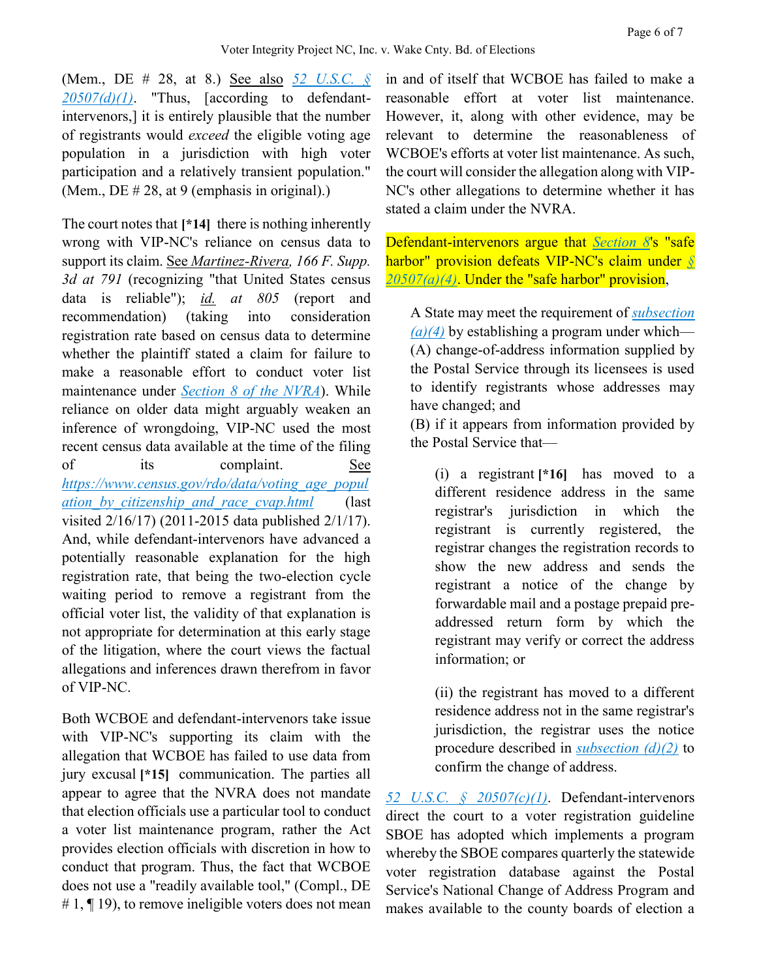(Mem., DE # 28, at 8.) See also *[52 U.S.C. §](https://advance.lexis.com/api/document?collection=statutes-legislation&id=urn:contentItem:5D3N-F731-NRF4-4007-00000-00&context=)  [20507\(d\)\(1\)](https://advance.lexis.com/api/document?collection=statutes-legislation&id=urn:contentItem:5D3N-F731-NRF4-4007-00000-00&context=)*. "Thus, [according to defendantintervenors,] it is entirely plausible that the number of registrants would *exceed* the eligible voting age population in a jurisdiction with high voter participation and a relatively transient population." (Mem., DE # 28, at 9 (emphasis in original).)

The court notes that **[\*14]** there is nothing inherently wrong with VIP-NC's reliance on census data to support its claim. See *Martinez-Rivera, 166 F. Supp. 3d at 791* (recognizing "that United States census data is reliable"); *id. at 805* (report and recommendation) (taking into consideration registration rate based on census data to determine whether the plaintiff stated a claim for failure to make a reasonable effort to conduct voter list maintenance under *[Section 8 of the NVRA](https://advance.lexis.com/api/document?collection=statutes-legislation&id=urn:contentItem:5D3N-F731-NRF4-4007-00000-00&context=)*). While reliance on older data might arguably weaken an inference of wrongdoing, VIP-NC used the most recent census data available at the time of the filing of its complaint. See *[https://www.census.gov/rdo/data/voting\\_age\\_popul](https://www.census.gov/rdo/data/voting_age_population_by_citizenship_and_race_cvap.html) [ation\\_by\\_citizenship\\_and\\_race\\_cvap.html](https://www.census.gov/rdo/data/voting_age_population_by_citizenship_and_race_cvap.html)* (last visited 2/16/17) (2011-2015 data published 2/1/17). And, while defendant-intervenors have advanced a potentially reasonable explanation for the high registration rate, that being the two-election cycle waiting period to remove a registrant from the official voter list, the validity of that explanation is not appropriate for determination at this early stage of the litigation, where the court views the factual allegations and inferences drawn therefrom in favor of VIP-NC.

Both WCBOE and defendant-intervenors take issue with VIP-NC's supporting its claim with the allegation that WCBOE has failed to use data from jury excusal **[\*15]** communication. The parties all appear to agree that the NVRA does not mandate that election officials use a particular tool to conduct a voter list maintenance program, rather the Act provides election officials with discretion in how to conduct that program. Thus, the fact that WCBOE does not use a "readily available tool," (Compl., DE  $\# 1$ ,  $\P$  19), to remove ineligible voters does not mean

in and of itself that WCBOE has failed to make a reasonable effort at voter list maintenance. However, it, along with other evidence, may be relevant to determine the reasonableness of WCBOE's efforts at voter list maintenance. As such, the court will consider the allegation along with VIP-NC's other allegations to determine whether it has stated a claim under the NVRA.

Defendant-intervenors argue that *[Section 8](https://advance.lexis.com/api/document?collection=statutes-legislation&id=urn:contentItem:5D3N-F731-NRF4-4007-00000-00&context=)*'s "safe harbor" provision defeats VIP-NC's claim under *[§](https://advance.lexis.com/api/document?collection=statutes-legislation&id=urn:contentItem:5D3N-F731-NRF4-4007-00000-00&context=)  [20507\(a\)\(4\)](https://advance.lexis.com/api/document?collection=statutes-legislation&id=urn:contentItem:5D3N-F731-NRF4-4007-00000-00&context=)*. Under the "safe harbor" provision,

A State may meet the requirement of *[subsection](https://advance.lexis.com/api/document?collection=statutes-legislation&id=urn:contentItem:5D3N-F731-NRF4-4007-00000-00&context=)  [\(a\)\(4\)](https://advance.lexis.com/api/document?collection=statutes-legislation&id=urn:contentItem:5D3N-F731-NRF4-4007-00000-00&context=)* by establishing a program under which— (A) change-of-address information supplied by the Postal Service through its licensees is used to identify registrants whose addresses may have changed; and

(B) if it appears from information provided by the Postal Service that—

(i) a registrant **[\*16]** has moved to a different residence address in the same registrar's jurisdiction in which the registrant is currently registered, the registrar changes the registration records to show the new address and sends the registrant a notice of the change by forwardable mail and a postage prepaid preaddressed return form by which the registrant may verify or correct the address information; or

(ii) the registrant has moved to a different residence address not in the same registrar's jurisdiction, the registrar uses the notice procedure described in *[subsection \(d\)\(2\)](https://advance.lexis.com/api/document?collection=statutes-legislation&id=urn:contentItem:5D3N-F731-NRF4-4007-00000-00&context=)* to confirm the change of address.

*[52 U.S.C. § 20507\(c\)\(1\)](https://advance.lexis.com/api/document?collection=statutes-legislation&id=urn:contentItem:5D3N-F731-NRF4-4007-00000-00&context=)*. Defendant-intervenors direct the court to a voter registration guideline SBOE has adopted which implements a program whereby the SBOE compares quarterly the statewide voter registration database against the Postal Service's National Change of Address Program and makes available to the county boards of election a